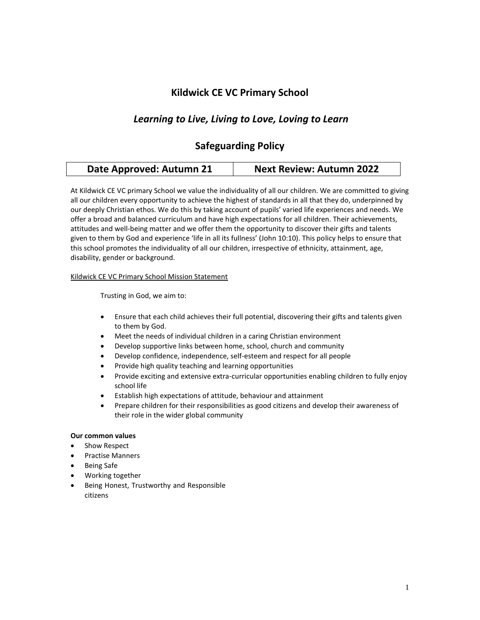# **Kildwick CE VC Primary School**

# *Learning to Live, Living to Love, Loving to Learn*

# **Safeguarding Policy**

| Date Approved: Autumn 21 | <b>Next Review: Autumn 2022</b> |
|--------------------------|---------------------------------|
|--------------------------|---------------------------------|

At Kildwick CE VC primary School we value the individuality of all our children. We are committed to giving all our children every opportunity to achieve the highest of standards in all that they do, underpinned by our deeply Christian ethos. We do this by taking account of pupils' varied life experiences and needs. We offer a broad and balanced curriculum and have high expectations for all children. Their achievements, attitudes and well-being matter and we offer them the opportunity to discover their gifts and talents given to them by God and experience 'life in all its fullness' (John 10:10). This policy helps to ensure that this school promotes the individuality of all our children, irrespective of ethnicity, attainment, age, disability, gender or background.

### Kildwick CE VC Primary School Mission Statement

Trusting in God, we aim to:

- Ensure that each child achieves their full potential, discovering their gifts and talents given to them by God.
- Meet the needs of individual children in a caring Christian environment
- Develop supportive links between home, school, church and community
- Develop confidence, independence, self-esteem and respect for all people
- Provide high quality teaching and learning opportunities
- Provide exciting and extensive extra-curricular opportunities enabling children to fully enjoy school life
- Establish high expectations of attitude, behaviour and attainment
- Prepare children for their responsibilities as good citizens and develop their awareness of their role in the wider global community

# **Our common values**

- Show Respect
- Practise Manners
- Being Safe
- Working together
- Being Honest, Trustworthy and Responsible citizens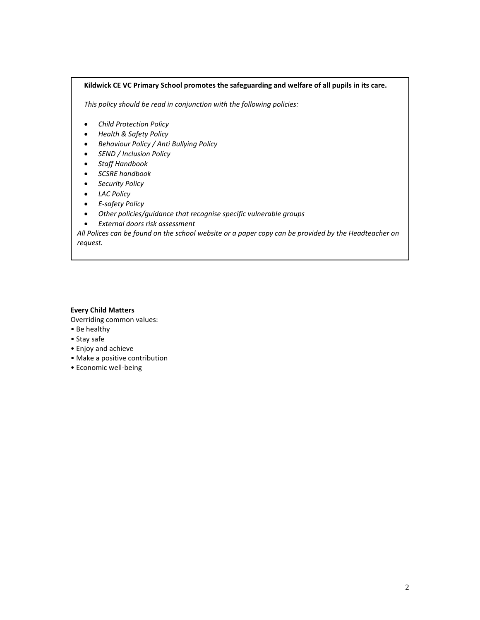### **Kildwick CE VC Primary School promotes the safeguarding and welfare of all pupils in its care.**

*This policy should be read in conjunction with the following policies:* 

- *Child Protection Policy*
- *Health & Safety Policy*
- *Behaviour Policy / Anti Bullying Policy*
- *SEND / Inclusion Policy*
- *Staff Handbook*
- *SCSRE handbook*
- *Security Policy*
- *LAC Policy*
- *E-safety Policy*
- *Other policies/guidance that recognise specific vulnerable groups*
- *External doors risk assessment*

*All Polices can be found on the school website or a paper copy can be provided by the Headteacher on request.*

#### **Every Child Matters**

- Overriding common values:
- Be healthy
- Stay safe
- Enjoy and achieve
- Make a positive contribution
- Economic well-being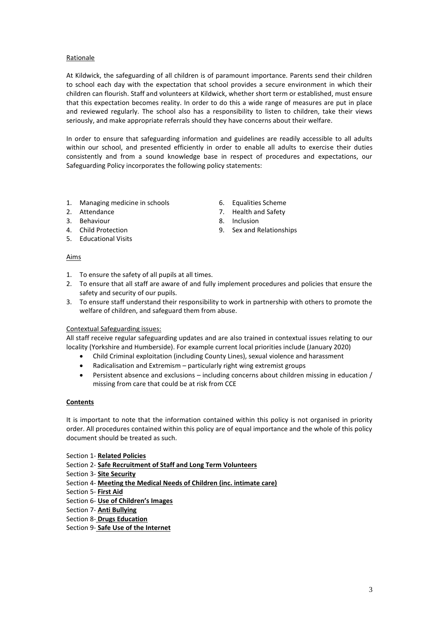## Rationale

At Kildwick, the safeguarding of all children is of paramount importance. Parents send their children to school each day with the expectation that school provides a secure environment in which their children can flourish. Staff and volunteers at Kildwick, whether short term or established, must ensure that this expectation becomes reality. In order to do this a wide range of measures are put in place and reviewed regularly. The school also has a responsibility to listen to children, take their views seriously, and make appropriate referrals should they have concerns about their welfare.

In order to ensure that safeguarding information and guidelines are readily accessible to all adults within our school, and presented efficiently in order to enable all adults to exercise their duties consistently and from a sound knowledge base in respect of procedures and expectations, our Safeguarding Policy incorporates the following policy statements:

- 1. Managing medicine in schools
- 2. Attendance
- 3. Behaviour
- 4. Child Protection
- 5. Educational Visits

#### Aims

- 1. To ensure the safety of all pupils at all times.
- 2. To ensure that all staff are aware of and fully implement procedures and policies that ensure the safety and security of our pupils.
- 3. To ensure staff understand their responsibility to work in partnership with others to promote the welfare of children, and safeguard them from abuse.

#### Contextual Safeguarding issues:

All staff receive regular safeguarding updates and are also trained in contextual issues relating to our locality (Yorkshire and Humberside). For example current local priorities include (January 2020)

- Child Criminal exploitation (including County Lines), sexual violence and harassment
- Radicalisation and Extremism particularly right wing extremist groups
- Persistent absence and exclusions including concerns about children missing in education / missing from care that could be at risk from CCE

## **Contents**

It is important to note that the information contained within this policy is not organised in priority order. All procedures contained within this policy are of equal importance and the whole of this policy document should be treated as such.

- Section 1- **Related Policies**
- Section 2- **Safe Recruitment of Staff and Long Term Volunteers**
- Section 3- **Site Security**
- Section 4- **Meeting the Medical Needs of Children (inc. intimate care)**
- Section 5- **First Aid**
- Section 6- **Use of Children's Images**
- Section 7- **Anti Bullying**
- Section 8- **Drugs Education**
- Section 9- **Safe Use of the Internet**
- 6. Equalities Scheme
- 7. Health and Safety
- 8. Inclusion
- 9. Sex and Relationships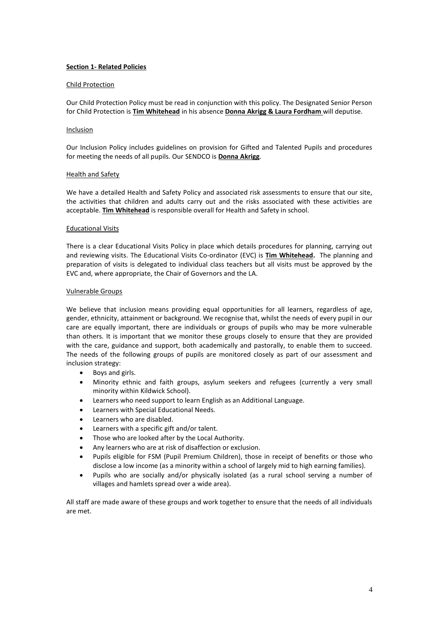# **Section 1- Related Policies**

### Child Protection

Our Child Protection Policy must be read in conjunction with this policy. The Designated Senior Person for Child Protection is **Tim Whitehead** in his absence **Donna Akrigg & Laura Fordham** will deputise.

#### Inclusion

Our Inclusion Policy includes guidelines on provision for Gifted and Talented Pupils and procedures for meeting the needs of all pupils. Our SENDCO is **Donna Akrigg**.

### Health and Safety

We have a detailed Health and Safety Policy and associated risk assessments to ensure that our site, the activities that children and adults carry out and the risks associated with these activities are acceptable. **Tim Whitehead** is responsible overall for Health and Safety in school.

#### Educational Visits

There is a clear Educational Visits Policy in place which details procedures for planning, carrying out and reviewing visits. The Educational Visits Co-ordinator (EVC) is **Tim Whitehead.** The planning and preparation of visits is delegated to individual class teachers but all visits must be approved by the EVC and, where appropriate, the Chair of Governors and the LA.

#### Vulnerable Groups

We believe that inclusion means providing equal opportunities for all learners, regardless of age, gender, ethnicity, attainment or background. We recognise that, whilst the needs of every pupil in our care are equally important, there are individuals or groups of pupils who may be more vulnerable than others. It is important that we monitor these groups closely to ensure that they are provided with the care, guidance and support, both academically and pastorally, to enable them to succeed. The needs of the following groups of pupils are monitored closely as part of our assessment and inclusion strategy:

- Boys and girls.
- Minority ethnic and faith groups, asylum seekers and refugees (currently a very small minority within Kildwick School).
- Learners who need support to learn English as an Additional Language.
- Learners with Special Educational Needs.
- Learners who are disabled.
- Learners with a specific gift and/or talent.
- Those who are looked after by the Local Authority.
- Any learners who are at risk of disaffection or exclusion.
- Pupils eligible for FSM (Pupil Premium Children), those in receipt of benefits or those who disclose a low income (as a minority within a school of largely mid to high earning families).
- Pupils who are socially and/or physically isolated (as a rural school serving a number of villages and hamlets spread over a wide area).

All staff are made aware of these groups and work together to ensure that the needs of all individuals are met.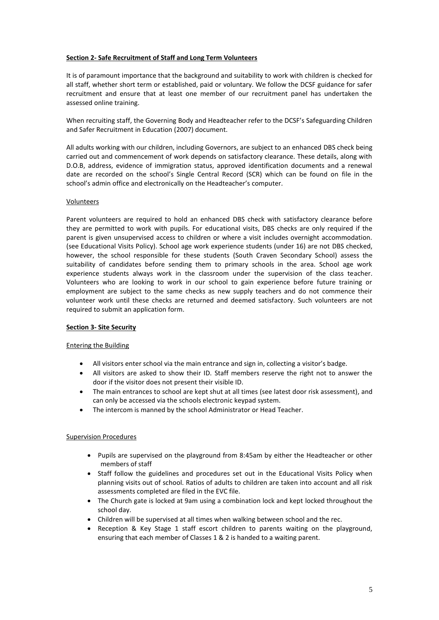# **Section 2- Safe Recruitment of Staff and Long Term Volunteers**

It is of paramount importance that the background and suitability to work with children is checked for all staff, whether short term or established, paid or voluntary. We follow the DCSF guidance for safer recruitment and ensure that at least one member of our recruitment panel has undertaken the assessed online training.

When recruiting staff, the Governing Body and Headteacher refer to the DCSF's Safeguarding Children and Safer Recruitment in Education (2007) document.

All adults working with our children, including Governors, are subject to an enhanced DBS check being carried out and commencement of work depends on satisfactory clearance. These details, along with D.O.B, address, evidence of immigration status, approved identification documents and a renewal date are recorded on the school's Single Central Record (SCR) which can be found on file in the school's admin office and electronically on the Headteacher's computer.

## Volunteers

Parent volunteers are required to hold an enhanced DBS check with satisfactory clearance before they are permitted to work with pupils. For educational visits, DBS checks are only required if the parent is given unsupervised access to children or where a visit includes overnight accommodation. (see Educational Visits Policy). School age work experience students (under 16) are not DBS checked, however, the school responsible for these students (South Craven Secondary School) assess the suitability of candidates before sending them to primary schools in the area. School age work experience students always work in the classroom under the supervision of the class teacher. Volunteers who are looking to work in our school to gain experience before future training or employment are subject to the same checks as new supply teachers and do not commence their volunteer work until these checks are returned and deemed satisfactory. Such volunteers are not required to submit an application form.

## **Section 3- Site Security**

## Entering the Building

- All visitors enter school via the main entrance and sign in, collecting a visitor's badge.
- All visitors are asked to show their ID. Staff members reserve the right not to answer the door if the visitor does not present their visible ID.
- The main entrances to school are kept shut at all times (see latest door risk assessment), and can only be accessed via the schools electronic keypad system.
- The intercom is manned by the school Administrator or Head Teacher.

# Supervision Procedures

- Pupils are supervised on the playground from 8:45am by either the Headteacher or other members of staff
- Staff follow the guidelines and procedures set out in the Educational Visits Policy when planning visits out of school. Ratios of adults to children are taken into account and all risk assessments completed are filed in the EVC file.
- The Church gate is locked at 9am using a combination lock and kept locked throughout the school day.
- Children will be supervised at all times when walking between school and the rec.
- Reception & Key Stage 1 staff escort children to parents waiting on the playground, ensuring that each member of Classes 1 & 2 is handed to a waiting parent.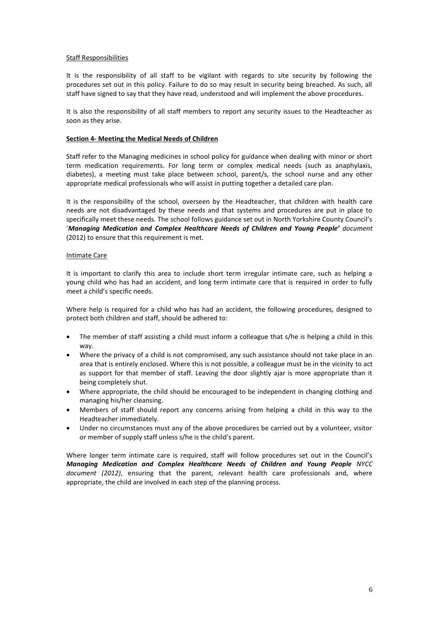#### Staff Responsibilities

It is the responsibility of all staff to be vigilant with regards to site security by following the procedures set out in this policy. Failure to do so may result in security being breached. As such, all staff have signed to say that they have read, understood and will implement the above procedures.

It is also the responsibility of all staff members to report any security issues to the Headteacher as soon as they arise.

#### **Section 4- Meeting the Medical Needs of Children**

Staff refer to the Managing medicines in school policy for guidance when dealing with minor or short term medication requirements. For long term or complex medical needs (such as anaphylaxis, diabetes), a meeting must take place between school, parent/s, the school nurse and any other appropriate medical professionals who will assist in putting together a detailed care plan.

It is the responsibility of the school, overseen by the Headteacher, that children with health care needs are not disadvantaged by these needs and that systems and procedures are put in place to specifically meet these needs. The school follows guidance set out in North Yorkshire County Council's '*Managing Medication and Complex Healthcare Needs of Children and Young People' document* (2012) to ensure that this requirement is met.

#### Intimate Care

It is important to clarify this area to include short term irregular intimate care, such as helping a young child who has had an accident, and long term intimate care that is required in order to fully meet a child's specific needs.

Where help is required for a child who has had an accident, the following procedures, designed to protect both children and staff, should be adhered to:

- The member of staff assisting a child must inform a colleague that s/he is helping a child in this way.
- Where the privacy of a child is not compromised, any such assistance should not take place in an area that is entirely enclosed. Where this is not possible, a colleague must be in the vicinity to act as support for that member of staff. Leaving the door slightly ajar is more appropriate than it being completely shut.
- Where appropriate, the child should be encouraged to be independent in changing clothing and managing his/her cleansing.
- Members of staff should report any concerns arising from helping a child in this way to the Headteacher immediately.
- Under no circumstances must any of the above procedures be carried out by a volunteer, visitor or member of supply staff unless s/he is the child's parent.

Where longer term intimate care is required, staff will follow procedures set out in the Council's *Managing Medication and Complex Healthcare Needs of Children and Young People NYCC document (2012)*, ensuring that the parent, relevant health care professionals and, where appropriate, the child are involved in each step of the planning process.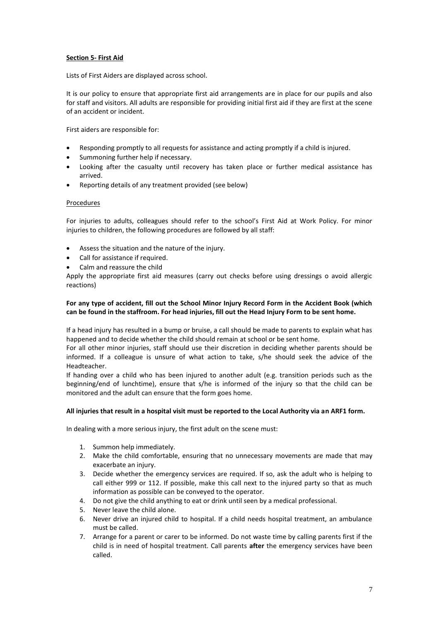# **Section 5- First Aid**

Lists of First Aiders are displayed across school.

It is our policy to ensure that appropriate first aid arrangements are in place for our pupils and also for staff and visitors. All adults are responsible for providing initial first aid if they are first at the scene of an accident or incident.

First aiders are responsible for:

- Responding promptly to all requests for assistance and acting promptly if a child is injured.
- Summoning further help if necessary.
- Looking after the casualty until recovery has taken place or further medical assistance has arrived.
- Reporting details of any treatment provided (see below)

#### Procedures

For injuries to adults, colleagues should refer to the school's First Aid at Work Policy. For minor injuries to children, the following procedures are followed by all staff:

- Assess the situation and the nature of the injury.
- Call for assistance if required.
- Calm and reassure the child

Apply the appropriate first aid measures (carry out checks before using dressings o avoid allergic reactions)

# **For any type of accident, fill out the School Minor Injury Record Form in the Accident Book (which can be found in the staffroom. For head injuries, fill out the Head Injury Form to be sent home.**

If a head injury has resulted in a bump or bruise, a call should be made to parents to explain what has happened and to decide whether the child should remain at school or be sent home.

For all other minor injuries, staff should use their discretion in deciding whether parents should be informed. If a colleague is unsure of what action to take, s/he should seek the advice of the Headteacher.

If handing over a child who has been injured to another adult (e.g. transition periods such as the beginning/end of lunchtime), ensure that s/he is informed of the injury so that the child can be monitored and the adult can ensure that the form goes home.

#### **All injuries that result in a hospital visit must be reported to the Local Authority via an ARF1 form.**

In dealing with a more serious injury, the first adult on the scene must:

- 1. Summon help immediately.
- 2. Make the child comfortable, ensuring that no unnecessary movements are made that may exacerbate an injury.
- 3. Decide whether the emergency services are required. If so, ask the adult who is helping to call either 999 or 112. If possible, make this call next to the injured party so that as much information as possible can be conveyed to the operator.
- 4. Do not give the child anything to eat or drink until seen by a medical professional.
- 5. Never leave the child alone.
- 6. Never drive an injured child to hospital. If a child needs hospital treatment, an ambulance must be called.
- 7. Arrange for a parent or carer to be informed. Do not waste time by calling parents first if the child is in need of hospital treatment. Call parents **after** the emergency services have been called.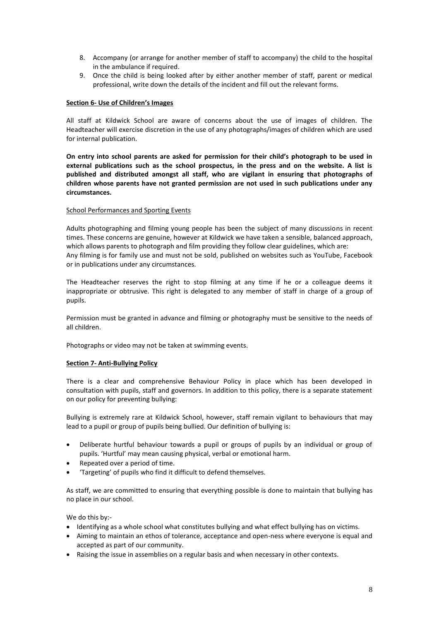- 8. Accompany (or arrange for another member of staff to accompany) the child to the hospital in the ambulance if required.
- 9. Once the child is being looked after by either another member of staff, parent or medical professional, write down the details of the incident and fill out the relevant forms.

### **Section 6- Use of Children's Images**

All staff at Kildwick School are aware of concerns about the use of images of children. The Headteacher will exercise discretion in the use of any photographs/images of children which are used for internal publication.

**On entry into school parents are asked for permission for their child's photograph to be used in external publications such as the school prospectus, in the press and on the website. A list is published and distributed amongst all staff, who are vigilant in ensuring that photographs of children whose parents have not granted permission are not used in such publications under any circumstances.** 

### School Performances and Sporting Events

Adults photographing and filming young people has been the subject of many discussions in recent times. These concerns are genuine, however at Kildwick we have taken a sensible, balanced approach, which allows parents to photograph and film providing they follow clear guidelines, which are: Any filming is for family use and must not be sold, published on websites such as YouTube, Facebook or in publications under any circumstances.

The Headteacher reserves the right to stop filming at any time if he or a colleague deems it inappropriate or obtrusive. This right is delegated to any member of staff in charge of a group of pupils.

Permission must be granted in advance and filming or photography must be sensitive to the needs of all children.

Photographs or video may not be taken at swimming events.

## **Section 7- Anti-Bullying Policy**

There is a clear and comprehensive Behaviour Policy in place which has been developed in consultation with pupils, staff and governors. In addition to this policy, there is a separate statement on our policy for preventing bullying:

Bullying is extremely rare at Kildwick School, however, staff remain vigilant to behaviours that may lead to a pupil or group of pupils being bullied. Our definition of bullying is:

- Deliberate hurtful behaviour towards a pupil or groups of pupils by an individual or group of pupils. 'Hurtful' may mean causing physical, verbal or emotional harm.
- Repeated over a period of time.
- 'Targeting' of pupils who find it difficult to defend themselves.

As staff, we are committed to ensuring that everything possible is done to maintain that bullying has no place in our school.

We do this by:-

- Identifying as a whole school what constitutes bullying and what effect bullying has on victims.
- Aiming to maintain an ethos of tolerance, acceptance and open-ness where everyone is equal and accepted as part of our community.
- Raising the issue in assemblies on a regular basis and when necessary in other contexts.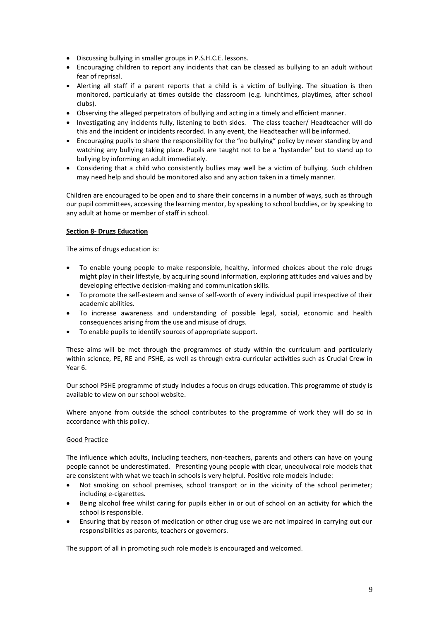- Discussing bullying in smaller groups in P.S.H.C.E. lessons.
- Encouraging children to report any incidents that can be classed as bullying to an adult without fear of reprisal.
- Alerting all staff if a parent reports that a child is a victim of bullying. The situation is then monitored, particularly at times outside the classroom (e.g. lunchtimes, playtimes, after school clubs).
- Observing the alleged perpetrators of bullying and acting in a timely and efficient manner.
- Investigating any incidents fully, listening to both sides. The class teacher/ Headteacher will do this and the incident or incidents recorded. In any event, the Headteacher will be informed.
- Encouraging pupils to share the responsibility for the "no bullying" policy by never standing by and watching any bullying taking place. Pupils are taught not to be a 'bystander' but to stand up to bullying by informing an adult immediately.
- Considering that a child who consistently bullies may well be a victim of bullying. Such children may need help and should be monitored also and any action taken in a timely manner.

Children are encouraged to be open and to share their concerns in a number of ways, such as through our pupil committees, accessing the learning mentor, by speaking to school buddies, or by speaking to any adult at home or member of staff in school.

# **Section 8- Drugs Education**

The aims of drugs education is:

- To enable young people to make responsible, healthy, informed choices about the role drugs might play in their lifestyle, by acquiring sound information, exploring attitudes and values and by developing effective decision-making and communication skills.
- To promote the self-esteem and sense of self-worth of every individual pupil irrespective of their academic abilities.
- To increase awareness and understanding of possible legal, social, economic and health consequences arising from the use and misuse of drugs.
- To enable pupils to identify sources of appropriate support.

These aims will be met through the programmes of study within the curriculum and particularly within science, PE, RE and PSHE, as well as through extra-curricular activities such as Crucial Crew in Year 6.

Our school PSHE programme of study includes a focus on drugs education. This programme of study is available to view on our school website.

Where anyone from outside the school contributes to the programme of work they will do so in accordance with this policy.

## Good Practice

The influence which adults, including teachers, non-teachers, parents and others can have on young people cannot be underestimated. Presenting young people with clear, unequivocal role models that are consistent with what we teach in schools is very helpful. Positive role models include:

- Not smoking on school premises, school transport or in the vicinity of the school perimeter; including e-cigarettes.
- Being alcohol free whilst caring for pupils either in or out of school on an activity for which the school is responsible.
- Ensuring that by reason of medication or other drug use we are not impaired in carrying out our responsibilities as parents, teachers or governors.

The support of all in promoting such role models is encouraged and welcomed.